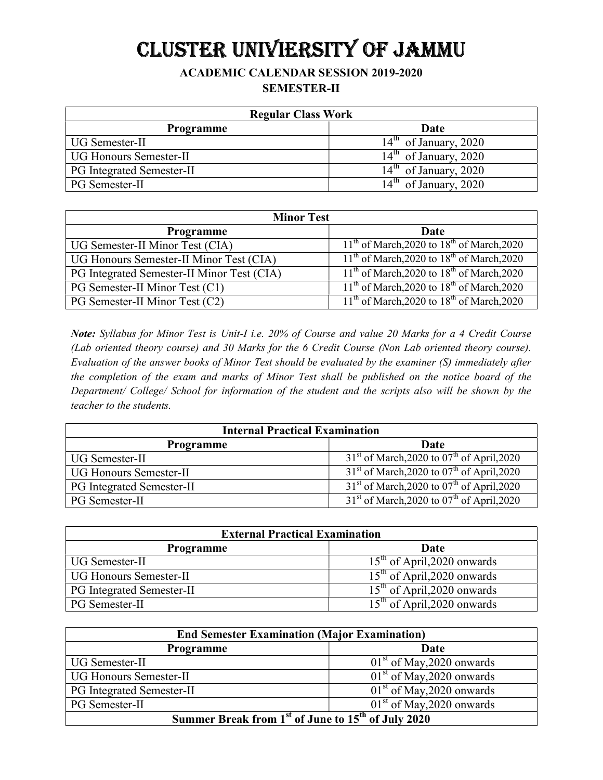# CLUSTER UNIVIERSITY OF JAMMU

### ACADEMIC CALENDAR SESSION 2019-2020 SEMESTER-II

| <b>Regular Class Work</b>        |                         |
|----------------------------------|-------------------------|
| <b>Programme</b>                 | Date                    |
| UG Semester-II                   | $14th$ of January, 2020 |
| <b>UG Honours Semester-II</b>    | $14th$ of January, 2020 |
| <b>PG</b> Integrated Semester-II | $14th$ of January, 2020 |
| PG Semester-II                   | $14th$ of January, 2020 |

| <b>Minor Test</b>                          |                                                |
|--------------------------------------------|------------------------------------------------|
| <b>Programme</b>                           | Date                                           |
| UG Semester-II Minor Test (CIA)            | $11th$ of March, 2020 to $18th$ of March, 2020 |
| UG Honours Semester-II Minor Test (CIA)    | $11th$ of March, 2020 to $18th$ of March, 2020 |
| PG Integrated Semester-II Minor Test (CIA) | $11th$ of March, 2020 to $18th$ of March, 2020 |
| PG Semester-II Minor Test (C1)             | $11th$ of March, 2020 to $18th$ of March, 2020 |
| PG Semester-II Minor Test (C2)             | $11th$ of March, 2020 to $18th$ of March, 2020 |

Note: Syllabus for Minor Test is Unit-I i.e. 20% of Course and value 20 Marks for a 4 Credit Course (Lab oriented theory course) and 30 Marks for the 6 Credit Course (Non Lab oriented theory course). Evaluation of the answer books of Minor Test should be evaluated by the examiner (S) immediately after the completion of the exam and marks of Minor Test shall be published on the notice board of the Department/ College/ School for information of the student and the scripts also will be shown by the teacher to the students.

| <b>Internal Practical Examination</b> |                                                          |
|---------------------------------------|----------------------------------------------------------|
| <b>Programme</b>                      | Date                                                     |
| UG Semester-II                        | $31st$ of March, 2020 to 07 <sup>th</sup> of April, 2020 |
| <b>UG Honours Semester-II</b>         | $31st$ of March, 2020 to 07 <sup>th</sup> of April, 2020 |
| <b>PG</b> Integrated Semester-II      | $31st$ of March, 2020 to 07 <sup>th</sup> of April, 2020 |
| <b>PG</b> Semester-II                 | $31st$ of March, 2020 to 07 <sup>th</sup> of April, 2020 |

| <b>External Practical Examination</b> |                               |
|---------------------------------------|-------------------------------|
| <b>Programme</b>                      | Date                          |
| UG Semester-II                        | $15th$ of April, 2020 onwards |
| <b>UG Honours Semester-II</b>         | $15th$ of April, 2020 onwards |
| <b>PG</b> Integrated Semester-II      | $15th$ of April, 2020 onwards |
| PG Semester-II                        | $15th$ of April, 2020 onwards |

| <b>End Semester Examination (Major Examination)</b>                        |                             |  |
|----------------------------------------------------------------------------|-----------------------------|--|
| <b>Programme</b>                                                           | Date                        |  |
| <b>UG</b> Semester-II                                                      | $01st$ of May, 2020 onwards |  |
| <b>UG Honours Semester-II</b>                                              | $01st$ of May, 2020 onwards |  |
| PG Integrated Semester-II                                                  | $01st$ of May, 2020 onwards |  |
| PG Semester-II                                                             | $01st$ of May, 2020 onwards |  |
| Summer Break from 1 <sup>st</sup> of June to 15 <sup>th</sup> of July 2020 |                             |  |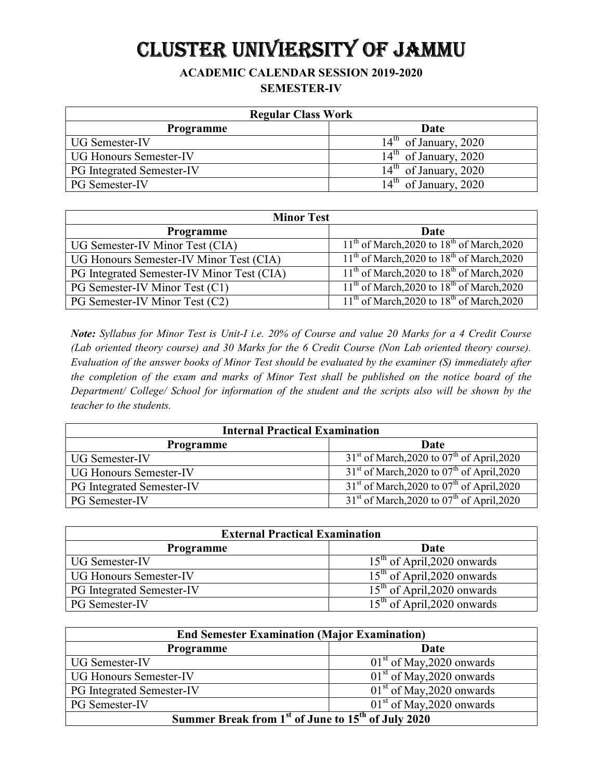# CLUSTER UNIVIERSITY OF JAMMU

### ACADEMIC CALENDAR SESSION 2019-2020 SEMESTER-IV

| <b>Regular Class Work</b>     |                         |
|-------------------------------|-------------------------|
| <b>Programme</b>              | Date                    |
| <b>UG Semester-IV</b>         | $14th$ of January, 2020 |
| <b>UG Honours Semester-IV</b> | $14th$ of January, 2020 |
| PG Integrated Semester-IV     | $14th$ of January, 2020 |
| <b>PG</b> Semester-IV         | $14th$ of January, 2020 |

| <b>Minor Test</b>                          |                                                |
|--------------------------------------------|------------------------------------------------|
| <b>Programme</b>                           | Date                                           |
| UG Semester-IV Minor Test (CIA)            | $11th$ of March, 2020 to $18th$ of March, 2020 |
| UG Honours Semester-IV Minor Test (CIA)    | $11th$ of March, 2020 to $18th$ of March, 2020 |
| PG Integrated Semester-IV Minor Test (CIA) | $11th$ of March, 2020 to $18th$ of March, 2020 |
| PG Semester-IV Minor Test (C1)             | $11th$ of March, 2020 to $18th$ of March, 2020 |
| PG Semester-IV Minor Test (C2)             | $11th$ of March, 2020 to $18th$ of March, 2020 |

Note: Syllabus for Minor Test is Unit-I i.e. 20% of Course and value 20 Marks for a 4 Credit Course (Lab oriented theory course) and 30 Marks for the 6 Credit Course (Non Lab oriented theory course). Evaluation of the answer books of Minor Test should be evaluated by the examiner (S) immediately after the completion of the exam and marks of Minor Test shall be published on the notice board of the Department/ College/ School for information of the student and the scripts also will be shown by the teacher to the students.

| <b>Internal Practical Examination</b> |                                                          |
|---------------------------------------|----------------------------------------------------------|
| <b>Programme</b>                      | Date                                                     |
| <b>UG Semester-IV</b>                 | $31st$ of March, 2020 to 07 <sup>th</sup> of April, 2020 |
| <b>UG Honours Semester-IV</b>         | $31st$ of March, 2020 to 07 <sup>th</sup> of April, 2020 |
| <b>PG</b> Integrated Semester-IV      | $31st$ of March, 2020 to 07 <sup>th</sup> of April, 2020 |
| PG Semester-IV                        | $31st$ of March, 2020 to 07 <sup>th</sup> of April, 2020 |

| <b>External Practical Examination</b> |                               |
|---------------------------------------|-------------------------------|
| <b>Programme</b>                      | Date                          |
| <b>UG Semester-IV</b>                 | $15th$ of April, 2020 onwards |
| <b>UG Honours Semester-IV</b>         | $15th$ of April, 2020 onwards |
| <b>PG Integrated Semester-IV</b>      | $15th$ of April, 2020 onwards |
| <b>PG</b> Semester-IV                 | $15th$ of April, 2020 onwards |

| <b>End Semester Examination (Major Examination)</b>                        |                             |  |
|----------------------------------------------------------------------------|-----------------------------|--|
| <b>Programme</b>                                                           | Date                        |  |
| <b>UG Semester-IV</b>                                                      | $01st$ of May, 2020 onwards |  |
| <b>UG Honours Semester-IV</b>                                              | $01st$ of May, 2020 onwards |  |
| <b>PG</b> Integrated Semester-IV                                           | $01st$ of May, 2020 onwards |  |
| PG Semester-IV                                                             | $01st$ of May, 2020 onwards |  |
| Summer Break from 1 <sup>st</sup> of June to 15 <sup>th</sup> of July 2020 |                             |  |